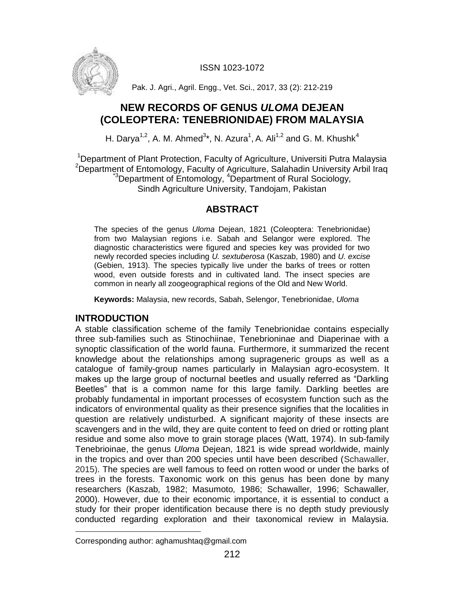ISSN 1023-1072



Pak. J. Agri., Agril. Engg., Vet. Sci., 2017, 33 (2): 212-219

# **NEW RECORDS OF GENUS** *ULOMA* **DEJEAN (COLEOPTERA: TENEBRIONIDAE) FROM MALAYSIA**

H. Darya<sup>1,2</sup>, A. M. Ahmed<sup>3\*</sup>, N. Azura<sup>1</sup>, A. Ali<sup>1,2</sup> and G. M. Khushk<sup>4</sup>

<sup>1</sup>Department of Plant Protection, Faculty of Agriculture, Universiti Putra Malaysia <sup>2</sup>Department of Entomology, Faculty of Agriculture, Salahadin University Arbil Iraq <sup>3</sup>Department of Entomology, <sup>4</sup>Department of Rural Sociology, Sindh Agriculture University, Tandojam, Pakistan

## **ABSTRACT**

The species of the genus *Uloma* Dejean, 1821 (Coleoptera: Tenebrionidae) from two Malaysian regions i.e. Sabah and Selangor were explored. The diagnostic characteristics were figured and species key was provided for two newly recorded species including *U. sextuberosa* (Kaszab, 1980) and *U. excise* (Gebien, 1913). The species typically live under the barks of trees or rotten wood, even outside forests and in cultivated land. The insect species are common in nearly all zoogeographical regions of the Old and New World.

**Keywords:** Malaysia, new records, Sabah, Selengor, Tenebrionidae, *Uloma*

## **INTRODUCTION**

A stable classification scheme of the family Tenebrionidae contains especially three sub-families such as Stinochiinae, Tenebrioninae and Diaperinae with a synoptic classification of the world fauna. Furthermore, it summarized the recent knowledge about the relationships among suprageneric groups as well as a catalogue of family-group names particularly in Malaysian agro-ecosystem. It makes up the large group of nocturnal beetles and usually referred as "Darkling" Beetles" that is a common name for this large family. Darkling beetles are probably fundamental in important processes of ecosystem function such as the indicators of environmental quality as their presence signifies that the localities in question are relatively undisturbed. A significant majority of these insects are scavengers and in the wild, they are quite content to feed on dried or rotting plant residue and some also move to grain storage places (Watt, 1974). In sub-family Tenebrioinae, the genus *Uloma* Dejean, 1821 is wide spread worldwide, mainly in the tropics and over than 200 species until have been described (Schawaller, 2015). The species are well famous to feed on rotten wood or under the barks of trees in the forests. Taxonomic work on this genus has been done by many researchers (Kaszab*,* 1982; Masumoto*,* 1986; Schawaller*,* 1996; Schawaller*,* 2000). However, due to their economic importance, it is essential to conduct a study for their proper identification because there is no depth study previously conducted regarding exploration and their taxonomical review in Malaysia.

 $\overline{\phantom{a}}$ Corresponding author: aghamushtaq@gmail.com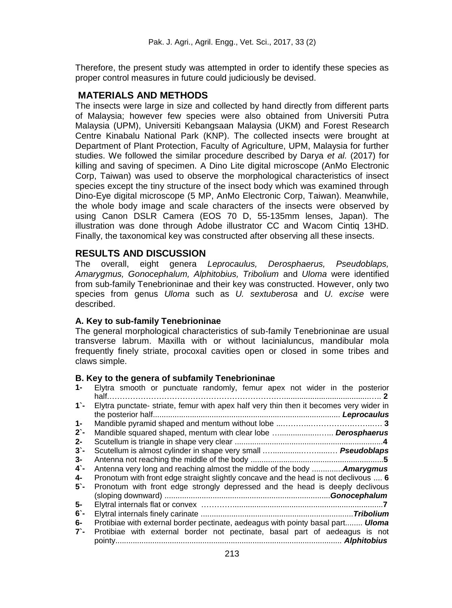Therefore, the present study was attempted in order to identify these species as proper control measures in future could judiciously be devised.

## **MATERIALS AND METHODS**

The insects were large in size and collected by hand directly from different parts of Malaysia; however few species were also obtained from Universiti Putra Malaysia (UPM), Universiti Kebangsaan Malaysia (UKM) and Forest Research Centre Kinabalu National Park (KNP). The collected insects were brought at Department of Plant Protection, Faculty of Agriculture, UPM, Malaysia for further studies. We followed the similar procedure described by Darya *et al.* (2017) for killing and saving of specimen. A Dino Lite digital microscope (AnMo Electronic Corp, Taiwan) was used to observe the morphological characteristics of insect species except the tiny structure of the insect body which was examined through Dino-Eye digital microscope (5 MP, AnMo Electronic Corp, Taiwan). Meanwhile, the whole body image and scale characters of the insects were observed by using Canon DSLR Camera (EOS 70 D, 55-135mm lenses, Japan). The illustration was done through Adobe illustrator CC and Wacom Cintiq 13HD. Finally, the taxonomical key was constructed after observing all these insects.

## **RESULTS AND DISCUSSION**

The overall, eight genera *Leprocaulus, Derosphaerus, Pseudoblaps, Amarygmus, Gonocephalum, Alphitobius, Tribolium* and *Uloma* were identified from sub-family Tenebrioninae and their key was constructed. However, only two species from genus *Uloma* such as *U. sextuberosa* and *U. excise* were described.

### **A. Key to sub-family Tenebrioninae**

The general morphological characteristics of sub-family Tenebrioninae are usual transverse labrum. Maxilla with or without lacinialuncus, mandibular mola frequently finely striate, procoxal cavities open or closed in some tribes and claws simple.

#### **B. Key to the genera of subfamily Tenebrioninae**

| $1 -$ | Elytra smooth or punctuate randomly, femur apex not wider in the posterior             |
|-------|----------------------------------------------------------------------------------------|
| $1$ - | Elytra punctate- striate, femur with apex half very thin then it becomes very wider in |
| $1 -$ |                                                                                        |
| $2$ - | Mandible squared shaped, mentum with clear lobe  Derosphaerus                          |
| $2 -$ |                                                                                        |
| $3 -$ |                                                                                        |
| 3-    |                                                                                        |
| 4`-   | Antenna very long and reaching almost the middle of the body  Amarygmus                |
| 4-    | Pronotum with front edge straight slightly concave and the head is not declivous  6    |
| 5 -   | Pronotum with front edge strongly depressed and the head is deeply declivous           |
|       |                                                                                        |
| 5-    |                                                                                        |
| 6`-   |                                                                                        |
| 6-    | Protibiae with external border pectinate, aedeagus with pointy basal part <b>Uloma</b> |
| $7 -$ | Protibiae with external border not pectinate, basal part of aedeagus is not            |
|       |                                                                                        |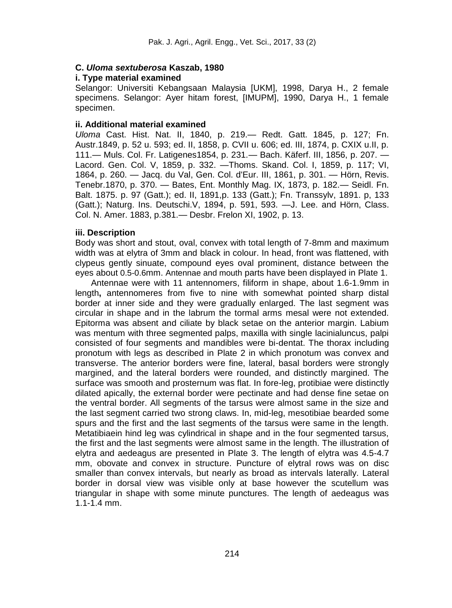### **C.** *Uloma sextuberosa* **Kaszab, 1980**

#### **i. Type material examined**

Selangor: Universiti Kebangsaan Malaysia [UKM], 1998, Darya H., 2 female specimens. Selangor: Ayer hitam forest, [IMUPM], 1990, Darya H., 1 female specimen.

#### **ii. Additional material examined**

*Uloma* Cast. Hist. Nat. II, 1840, p. 219.— Redt. Gatt. 1845, p. 127; Fn. Austr.1849, p. 52 u. 593; ed. II, 1858, p. CVII u. 606; ed. III, 1874, p. CXIX u.II, p. 111.— Muls. Col. Fr. Latigenes1854, p. 231.— Bach. Käferf. III, 1856, p. 207. — Lacord. Gen. Col. V, 1859, p. 332. —Thoms. Skand. Col. I, 1859, p. 117; VI, 1864, p. 260. — Jacq. du Val, Gen. Col. d'Eur. III, 1861, p. 301. — Hörn, Revis. Tenebr.1870, p. 370. — Bates, Ent. Monthly Mag. IX, 1873, p. 182.— Seidl. Fn. Balt. 1875. p. 97 (Gatt.); ed. II, 1891,p. 133 (Gatt.); Fn. Transsylv, 1891. p, 133 (Gatt.); Naturg. Ins. Deutschi.V, 1894, p. 591, 593. —J. Lee. and Hörn, Class. Col. N. Amer. 1883, p.381.— Desbr. Frelon XI, 1902, p. 13.

#### **iii. Description**

Body was short and stout, oval, convex with total length of 7-8mm and maximum width was at elytra of 3mm and black in colour. In head, front was flattened, with clypeus gently sinuate, compound eyes oval prominent, distance between the eyes about 0.5-0.6mm. Antennae and mouth parts have been displayed in Plate 1.

Antennae were with 11 antennomers, filiform in shape, about 1.6-1.9mm in length**,** antennomeres from five to nine with somewhat pointed sharp distal border at inner side and they were gradually enlarged. The last segment was circular in shape and in the labrum the tormal arms mesal were not extended. Epitorma was absent and ciliate by black setae on the anterior margin. Labium was mentum with three segmented palps, maxilla with single lacinialuncus, palpi consisted of four segments and mandibles were bi-dentat. The thorax including pronotum with legs as described in Plate 2 in which pronotum was convex and transverse. The anterior borders were fine, lateral, basal borders were strongly margined, and the lateral borders were rounded, and distinctly margined. The surface was smooth and prosternum was flat. In fore-leg, protibiae were distinctly dilated apically, the external border were pectinate and had dense fine setae on the ventral border. All segments of the tarsus were almost same in the size and the last segment carried two strong claws. In, mid-leg, mesotibiae bearded some spurs and the first and the last segments of the tarsus were same in the length. Metatibiaein hind leg was cylindrical in shape and in the four segmented tarsus, the first and the last segments were almost same in the length. The illustration of elytra and aedeagus are presented in Plate 3. The length of elytra was 4.5-4.7 mm, obovate and convex in structure. Puncture of elytral rows was on disc smaller than convex intervals, but nearly as broad as intervals laterally. Lateral border in dorsal view was visible only at base however the scutellum was triangular in shape with some minute punctures. The length of aedeagus was 1.1-1.4 mm.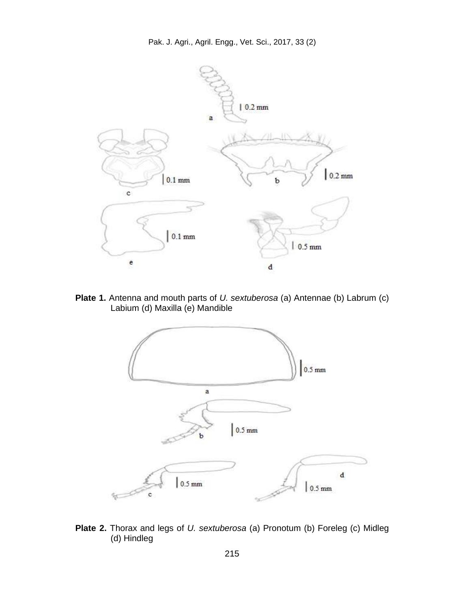

**Plate 1.** Antenna and mouth parts of *U. sextuberosa* (a) Antennae (b) Labrum (c) Labium (d) Maxilla (e) Mandible



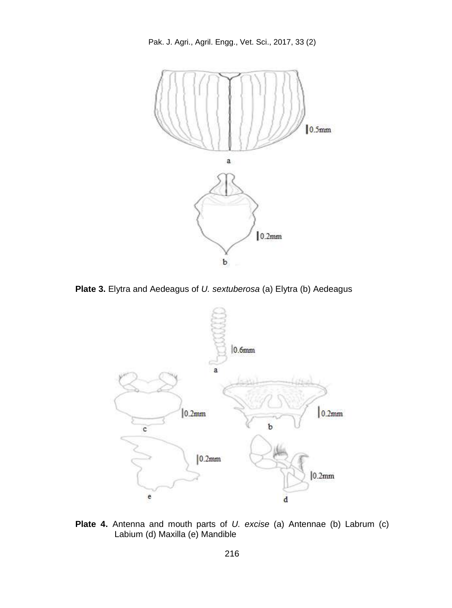Pak. J. Agri., Agril. Engg., Vet. Sci., 2017, 33 (2)



**Plate 3.** Elytra and Aedeagus of *U. sextuberosa* (a) Elytra (b) Aedeagus



**Plate 4.** Antenna and mouth parts of *U. excise* (a) Antennae (b) Labrum (c) Labium (d) Maxilla (e) Mandible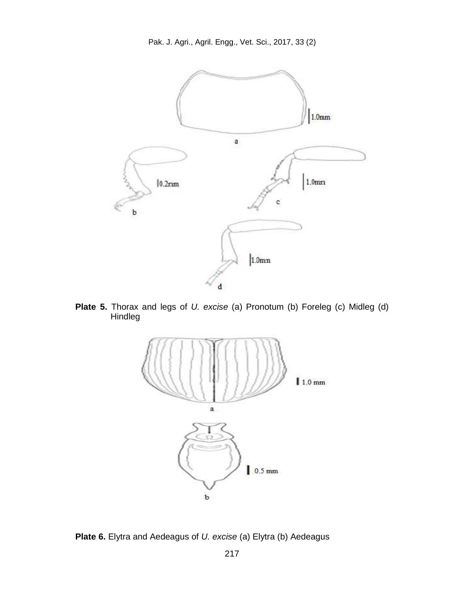Pak. J. Agri., Agril. Engg., Vet. Sci., 2017, 33 (2)



**Plate 5.** Thorax and legs of *U. excise* (a) Pronotum (b) Foreleg (c) Midleg (d) Hindleg



**Plate 6.** Elytra and Aedeagus of *U. excise* (a) Elytra (b) Aedeagus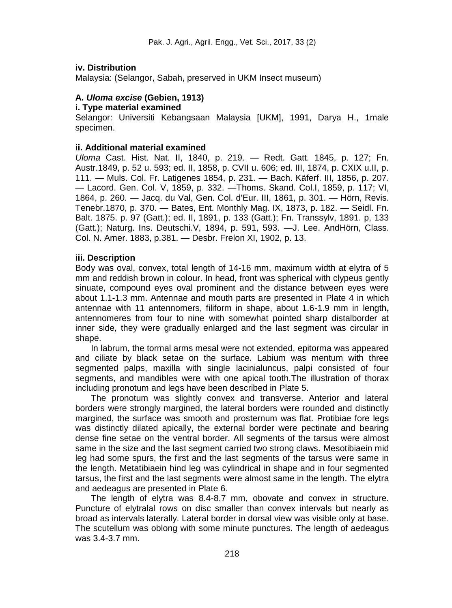### **iv. Distribution**

Malaysia: (Selangor, Sabah, preserved in UKM Insect museum)

### **A.** *Uloma excise* **(Gebien, 1913)**

#### **i. Type material examined**

Selangor: Universiti Kebangsaan Malaysia [UKM], 1991, Darya H., 1male specimen.

#### **ii. Additional material examined**

*Uloma* Cast. Hist. Nat. II, 1840, p. 219. — Redt. Gatt. 1845, p. 127; Fn. Austr.1849, p. 52 u. 593; ed. II, 1858, p. CVII u. 606; ed. III, 1874, p. CXIX u.II, p. 111. — Muls. Col. Fr. Latigenes 1854, p. 231. — Bach. Käferf. III, 1856, p. 207. — Lacord. Gen. Col. V, 1859, p. 332. —Thoms. Skand. Col.I, 1859, p. 117; VI, 1864, p. 260. — Jacq. du Val, Gen. Col. d'Eur. III, 1861, p. 301. — Hörn, Revis. Tenebr.1870, p. 370. — Bates, Ent. Monthly Mag. IX, 1873, p. 182. — Seidl. Fn. Balt. 1875. p. 97 (Gatt.); ed. II, 1891, p. 133 (Gatt.); Fn. Transsylv, 1891. p, 133 (Gatt.); Naturg. Ins. Deutschi.V, 1894, p. 591, 593. —J. Lee. AndHörn, Class. Col. N. Amer. 1883, p.381. — Desbr. Frelon XI, 1902, p. 13.

### **iii. Description**

Body was oval, convex, total length of 14-16 mm, maximum width at elytra of 5 mm and reddish brown in colour. In head, front was spherical with clypeus gently sinuate, compound eyes oval prominent and the distance between eyes were about 1.1-1.3 mm. Antennae and mouth parts are presented in Plate 4 in which antennae with 11 antennomers, filiform in shape, about 1.6-1.9 mm in length**,** antennomeres from four to nine with somewhat pointed sharp distalborder at inner side, they were gradually enlarged and the last segment was circular in shape.

In labrum, the tormal arms mesal were not extended, epitorma was appeared and ciliate by black setae on the surface. Labium was mentum with three segmented palps, maxilla with single lacinialuncus, palpi consisted of four segments, and mandibles were with one apical tooth.The illustration of thorax including pronotum and legs have been described in Plate 5.

The pronotum was slightly convex and transverse. Anterior and lateral borders were strongly margined, the lateral borders were rounded and distinctly margined, the surface was smooth and prosternum was flat. Protibiae fore legs was distinctly dilated apically, the external border were pectinate and bearing dense fine setae on the ventral border. All segments of the tarsus were almost same in the size and the last segment carried two strong claws. Mesotibiaein mid leg had some spurs, the first and the last segments of the tarsus were same in the length. Metatibiaein hind leg was cylindrical in shape and in four segmented tarsus, the first and the last segments were almost same in the length. The elytra and aedeagus are presented in Plate 6.

The length of elytra was 8.4-8.7 mm, obovate and convex in structure. Puncture of elytralal rows on disc smaller than convex intervals but nearly as broad as intervals laterally. Lateral border in dorsal view was visible only at base. The scutellum was oblong with some minute punctures. The length of aedeagus was 3.4-3.7 mm.